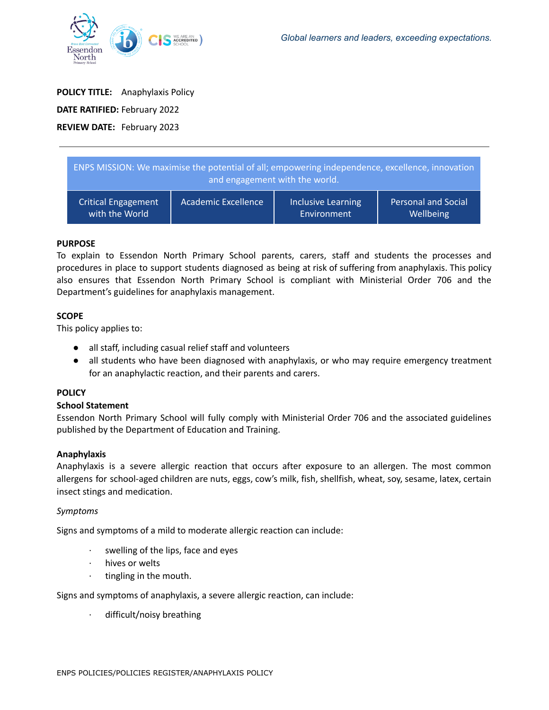

# **POLICY TITLE:** Anaphylaxis Policy **DATE RATIFIED:** February 2022 **REVIEW DATE:** February 2023

| ENPS MISSION: We maximise the potential of all; empowering independence, excellence, innovation<br>and engagement with the world. |                            |                           |                            |
|-----------------------------------------------------------------------------------------------------------------------------------|----------------------------|---------------------------|----------------------------|
| <b>Critical Engagement</b>                                                                                                        | <b>Academic Excellence</b> | <b>Inclusive Learning</b> | <b>Personal and Social</b> |
| with the World                                                                                                                    |                            | Environment               | Wellbeing                  |

## **PURPOSE**

To explain to Essendon North Primary School parents, carers, staff and students the processes and procedures in place to support students diagnosed as being at risk of suffering from anaphylaxis. This policy also ensures that Essendon North Primary School is compliant with Ministerial Order 706 and the Department's guidelines for anaphylaxis management.

## **SCOPE**

This policy applies to:

- all staff, including casual relief staff and volunteers
- all students who have been diagnosed with anaphylaxis, or who may require emergency treatment for an anaphylactic reaction, and their parents and carers.

## **POLICY**

## **School Statement**

Essendon North Primary School will fully comply with Ministerial Order 706 and the associated guidelines published by the Department of Education and Training.

## **Anaphylaxis**

Anaphylaxis is a severe allergic reaction that occurs after exposure to an allergen. The most common allergens for school-aged children are nuts, eggs, cow's milk, fish, shellfish, wheat, soy, sesame, latex, certain insect stings and medication.

## *Symptoms*

Signs and symptoms of a mild to moderate allergic reaction can include:

- · swelling of the lips, face and eyes
- · hives or welts
- tingling in the mouth.

Signs and symptoms of anaphylaxis, a severe allergic reaction, can include:

difficult/noisy breathing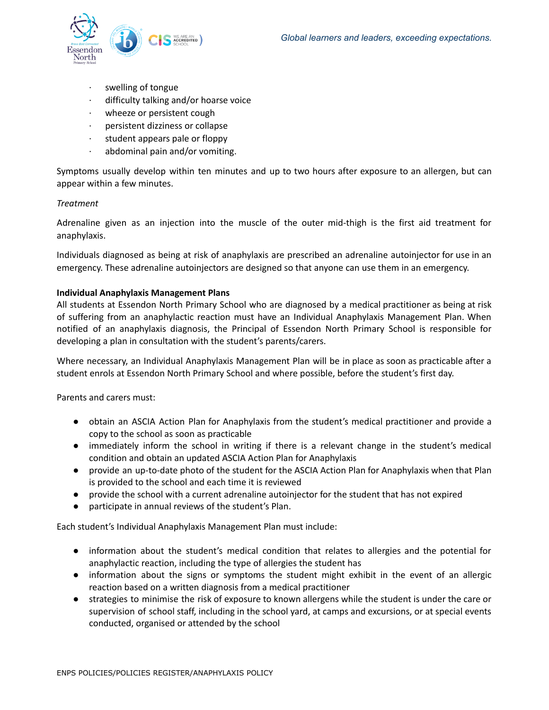

- swelling of tongue
- difficulty talking and/or hoarse voice
- wheeze or persistent cough
- · persistent dizziness or collapse
- · student appears pale or floppy
- abdominal pain and/or vomiting.

Symptoms usually develop within ten minutes and up to two hours after exposure to an allergen, but can appear within a few minutes.

#### *Treatment*

Adrenaline given as an injection into the muscle of the outer mid-thigh is the first aid treatment for anaphylaxis.

Individuals diagnosed as being at risk of anaphylaxis are prescribed an adrenaline autoinjector for use in an emergency. These adrenaline autoinjectors are designed so that anyone can use them in an emergency.

#### **Individual Anaphylaxis Management Plans**

All students at Essendon North Primary School who are diagnosed by a medical practitioner as being at risk of suffering from an anaphylactic reaction must have an Individual Anaphylaxis Management Plan. When notified of an anaphylaxis diagnosis, the Principal of Essendon North Primary School is responsible for developing a plan in consultation with the student's parents/carers.

Where necessary, an Individual Anaphylaxis Management Plan will be in place as soon as practicable after a student enrols at Essendon North Primary School and where possible, before the student's first day.

Parents and carers must:

- obtain an ASCIA Action Plan for Anaphylaxis from the student's medical practitioner and provide a copy to the school as soon as practicable
- immediately inform the school in writing if there is a relevant change in the student's medical condition and obtain an updated ASCIA Action Plan for Anaphylaxis
- provide an up-to-date photo of the student for the ASCIA Action Plan for Anaphylaxis when that Plan is provided to the school and each time it is reviewed
- provide the school with a current adrenaline autoinjector for the student that has not expired
- participate in annual reviews of the student's Plan.

Each student's Individual Anaphylaxis Management Plan must include:

- information about the student's medical condition that relates to allergies and the potential for anaphylactic reaction, including the type of allergies the student has
- information about the signs or symptoms the student might exhibit in the event of an allergic reaction based on a written diagnosis from a medical practitioner
- strategies to minimise the risk of exposure to known allergens while the student is under the care or supervision of school staff, including in the school yard, at camps and excursions, or at special events conducted, organised or attended by the school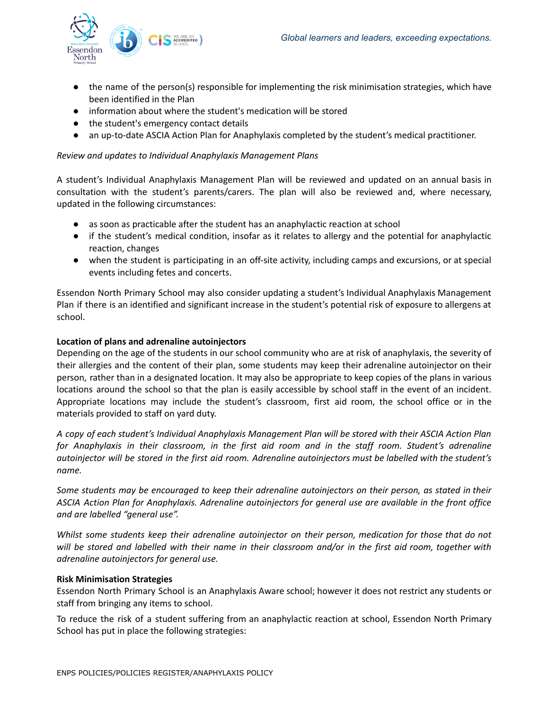

- the name of the person(s) responsible for implementing the risk minimisation strategies, which have been identified in the Plan
- information about where the student's medication will be stored
- the student's emergency contact details
- an up-to-date ASCIA Action Plan for Anaphylaxis completed by the student's medical practitioner.

## *Review and updates to Individual Anaphylaxis Management Plans*

A student's Individual Anaphylaxis Management Plan will be reviewed and updated on an annual basis in consultation with the student's parents/carers. The plan will also be reviewed and, where necessary, updated in the following circumstances:

- as soon as practicable after the student has an anaphylactic reaction at school
- if the student's medical condition, insofar as it relates to allergy and the potential for anaphylactic reaction, changes
- when the student is participating in an off-site activity, including camps and excursions, or at special events including fetes and concerts.

Essendon North Primary School may also consider updating a student's Individual Anaphylaxis Management Plan if there is an identified and significant increase in the student's potential risk of exposure to allergens at school.

#### **Location of plans and adrenaline autoinjectors**

Depending on the age of the students in our school community who are at risk of anaphylaxis, the severity of their allergies and the content of their plan, some students may keep their adrenaline autoinjector on their person, rather than in a designated location. It may also be appropriate to keep copies of the plans in various locations around the school so that the plan is easily accessible by school staff in the event of an incident. Appropriate locations may include the student's classroom, first aid room, the school office or in the materials provided to staff on yard duty.

A copy of each student's Individual Anaphylaxis Management Plan will be stored with their ASCIA Action Plan *for Anaphylaxis in their classroom, in the first aid room and in the staff room. Student's adrenaline* autoinjector will be stored in the first aid room. Adrenaline autoinjectors must be labelled with the student's *name.*

Some students may be encouraged to keep their adrenaline autoinjectors on their person, as stated in their *ASCIA Action Plan for Anaphylaxis. Adrenaline autoinjectors for general use are available in the front office and are labelled "general use".*

*Whilst some students keep their adrenaline autoinjector on their person, medication for those that do not* will be stored and labelled with their name in their classroom and/or in the first aid room, together with *adrenaline autoinjectors for general use.*

## **Risk Minimisation Strategies**

Essendon North Primary School is an Anaphylaxis Aware school; however it does not restrict any students or staff from bringing any items to school.

To reduce the risk of a student suffering from an anaphylactic reaction at school, Essendon North Primary School has put in place the following strategies: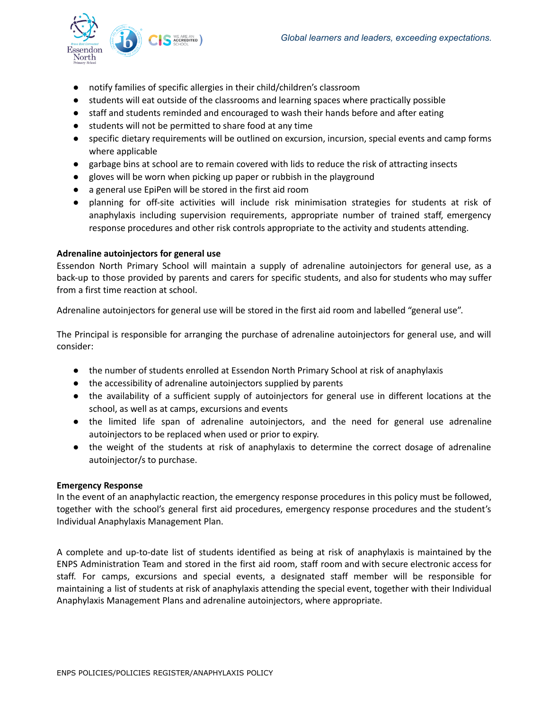

- notify families of specific allergies in their child/children's classroom
- students will eat outside of the classrooms and learning spaces where practically possible
- staff and students reminded and encouraged to wash their hands before and after eating
- students will not be permitted to share food at any time
- specific dietary requirements will be outlined on excursion, incursion, special events and camp forms where applicable
- garbage bins at school are to remain covered with lids to reduce the risk of attracting insects
- gloves will be worn when picking up paper or rubbish in the playground
- a general use EpiPen will be stored in the first aid room
- planning for off-site activities will include risk minimisation strategies for students at risk of anaphylaxis including supervision requirements, appropriate number of trained staff, emergency response procedures and other risk controls appropriate to the activity and students attending.

## **Adrenaline autoinjectors for general use**

Essendon North Primary School will maintain a supply of adrenaline autoinjectors for general use, as a back-up to those provided by parents and carers for specific students, and also for students who may suffer from a first time reaction at school.

Adrenaline autoinjectors for general use will be stored in the first aid room and labelled "general use".

The Principal is responsible for arranging the purchase of adrenaline autoinjectors for general use, and will consider:

- the number of students enrolled at Essendon North Primary School at risk of anaphylaxis
- the accessibility of adrenaline autoinjectors supplied by parents
- the availability of a sufficient supply of autoinjectors for general use in different locations at the school, as well as at camps, excursions and events
- the limited life span of adrenaline autoinjectors, and the need for general use adrenaline autoinjectors to be replaced when used or prior to expiry.
- the weight of the students at risk of anaphylaxis to determine the correct dosage of adrenaline autoinjector/s to purchase.

#### **Emergency Response**

In the event of an anaphylactic reaction, the emergency response procedures in this policy must be followed, together with the school's general first aid procedures, emergency response procedures and the student's Individual Anaphylaxis Management Plan.

A complete and up-to-date list of students identified as being at risk of anaphylaxis is maintained by the ENPS Administration Team and stored in the first aid room, staff room and with secure electronic access for staff. For camps, excursions and special events, a designated staff member will be responsible for maintaining a list of students at risk of anaphylaxis attending the special event, together with their Individual Anaphylaxis Management Plans and adrenaline autoinjectors, where appropriate.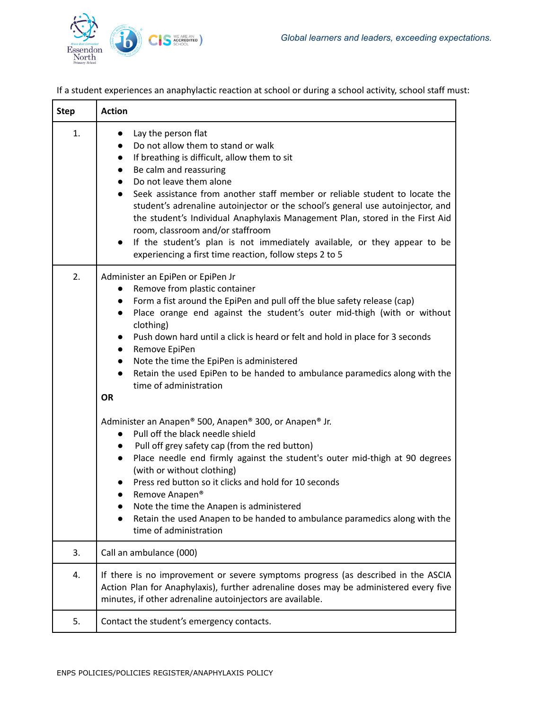

If a student experiences an anaphylactic reaction at school or during a school activity, school staff must:

| <b>Step</b> | <b>Action</b>                                                                                                                                                                                                                                                                                                                                                                                                                                                                                                                                                                                                          |  |
|-------------|------------------------------------------------------------------------------------------------------------------------------------------------------------------------------------------------------------------------------------------------------------------------------------------------------------------------------------------------------------------------------------------------------------------------------------------------------------------------------------------------------------------------------------------------------------------------------------------------------------------------|--|
| 1.          | Lay the person flat<br>$\bullet$<br>Do not allow them to stand or walk<br>If breathing is difficult, allow them to sit<br>Be calm and reassuring<br>Do not leave them alone<br>Seek assistance from another staff member or reliable student to locate the<br>student's adrenaline autoinjector or the school's general use autoinjector, and<br>the student's Individual Anaphylaxis Management Plan, stored in the First Aid<br>room, classroom and/or staffroom<br>If the student's plan is not immediately available, or they appear to be<br>$\bullet$<br>experiencing a first time reaction, follow steps 2 to 5 |  |
| 2.          | Administer an EpiPen or EpiPen Jr<br>Remove from plastic container<br>Form a fist around the EpiPen and pull off the blue safety release (cap)<br>$\bullet$<br>Place orange end against the student's outer mid-thigh (with or without<br>$\bullet$<br>clothing)<br>Push down hard until a click is heard or felt and hold in place for 3 seconds<br>$\bullet$<br>Remove EpiPen<br>$\bullet$<br>Note the time the EpiPen is administered<br>$\bullet$<br>Retain the used EpiPen to be handed to ambulance paramedics along with the<br>$\bullet$<br>time of administration<br><b>OR</b>                                |  |
|             | Administer an Anapen® 500, Anapen® 300, or Anapen® Jr.<br>Pull off the black needle shield<br>$\bullet$<br>Pull off grey safety cap (from the red button)<br>$\bullet$<br>Place needle end firmly against the student's outer mid-thigh at 90 degrees<br>$\bullet$<br>(with or without clothing)<br>Press red button so it clicks and hold for 10 seconds<br>Remove Anapen <sup>®</sup><br>$\bullet$<br>Note the time the Anapen is administered<br>Retain the used Anapen to be handed to ambulance paramedics along with the<br>time of administration                                                               |  |
| 3.          | Call an ambulance (000)                                                                                                                                                                                                                                                                                                                                                                                                                                                                                                                                                                                                |  |
| 4.          | If there is no improvement or severe symptoms progress (as described in the ASCIA<br>Action Plan for Anaphylaxis), further adrenaline doses may be administered every five<br>minutes, if other adrenaline autoinjectors are available.                                                                                                                                                                                                                                                                                                                                                                                |  |
| 5.          | Contact the student's emergency contacts.                                                                                                                                                                                                                                                                                                                                                                                                                                                                                                                                                                              |  |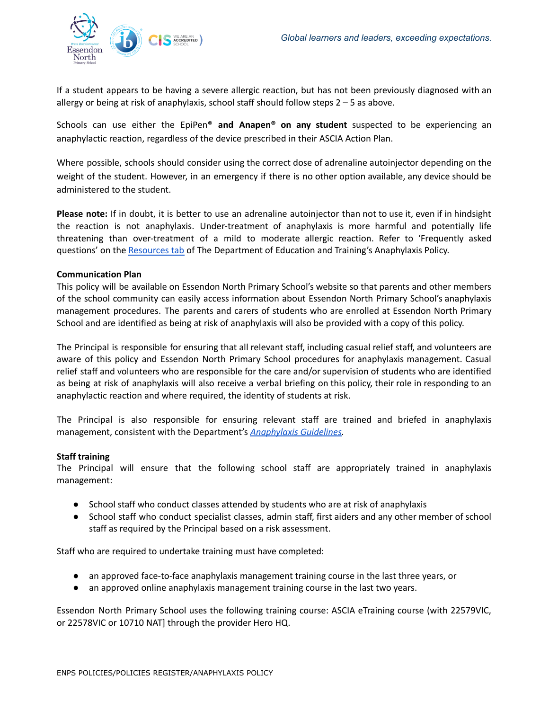

If a student appears to be having a severe allergic reaction, but has not been previously diagnosed with an allergy or being at risk of anaphylaxis, school staff should follow steps 2 – 5 as above.

Schools can use either the EpiPen® **and Anapen® on any student** suspected to be experiencing an anaphylactic reaction, regardless of the device prescribed in their ASCIA Action Plan.

Where possible, schools should consider using the correct dose of adrenaline autoinjector depending on the weight of the student. However, in an emergency if there is no other option available, any device should be administered to the student.

**Please note:** If in doubt, it is better to use an adrenaline autoinjector than not to use it, even if in hindsight the reaction is not anaphylaxis. Under-treatment of anaphylaxis is more harmful and potentially life threatening than over-treatment of a mild to moderate allergic reaction. Refer to 'Frequently asked questions' on the [Resources](https://www2.education.vic.gov.au/pal/anaphylaxis/resources) tab of The Department of Education and Training's Anaphylaxis Policy.

#### **Communication Plan**

This policy will be available on Essendon North Primary School's website so that parents and other members of the school community can easily access information about Essendon North Primary School's anaphylaxis management procedures. The parents and carers of students who are enrolled at Essendon North Primary School and are identified as being at risk of anaphylaxis will also be provided with a copy of this policy.

The Principal is responsible for ensuring that all relevant staff, including casual relief staff, and volunteers are aware of this policy and Essendon North Primary School procedures for anaphylaxis management. Casual relief staff and volunteers who are responsible for the care and/or supervision of students who are identified as being at risk of anaphylaxis will also receive a verbal briefing on this policy, their role in responding to an anaphylactic reaction and where required, the identity of students at risk.

The Principal is also responsible for ensuring relevant staff are trained and briefed in anaphylaxis management, consistent with the Department's *[Anaphylaxis](https://www2.education.vic.gov.au/pal/anaphylaxis/guidance) Guidelines.*

## **Staff training**

The Principal will ensure that the following school staff are appropriately trained in anaphylaxis management:

- School staff who conduct classes attended by students who are at risk of anaphylaxis
- School staff who conduct specialist classes, admin staff, first aiders and any other member of school staff as required by the Principal based on a risk assessment.

Staff who are required to undertake training must have completed:

- an approved face-to-face anaphylaxis management training course in the last three years, or
- an approved online anaphylaxis management training course in the last two years.

Essendon North Primary School uses the following training course: ASCIA eTraining course (with 22579VIC, or 22578VIC or 10710 NAT] through the provider Hero HQ.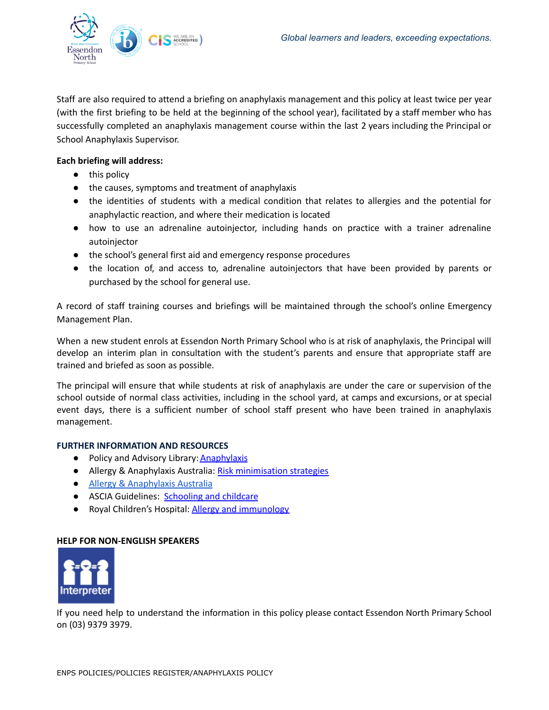

Staff are also required to attend a briefing on anaphylaxis management and this policy at least twice per year (with the first briefing to be held at the beginning of the school year), facilitated by a staff member who has successfully completed an anaphylaxis management course within the last 2 years including the Principal or School Anaphylaxis Supervisor.

## **Each briefing will address:**

- this policy
- the causes, symptoms and treatment of anaphylaxis
- the identities of students with a medical condition that relates to allergies and the potential for anaphylactic reaction, and where their medication is located
- how to use an adrenaline autoinjector, including hands on practice with a trainer adrenaline autoinjector
- the school's general first aid and emergency response procedures
- the location of, and access to, adrenaline autoinjectors that have been provided by parents or purchased by the school for general use.

A record of staff training courses and briefings will be maintained through the school's online Emergency Management Plan.

When a new student enrols at Essendon North Primary School who is at risk of anaphylaxis, the Principal will develop an interim plan in consultation with the student's parents and ensure that appropriate staff are trained and briefed as soon as possible.

The principal will ensure that while students at risk of anaphylaxis are under the care or supervision of the school outside of normal class activities, including in the school yard, at camps and excursions, or at special event days, there is a sufficient number of school staff present who have been trained in anaphylaxis management.

## **FURTHER INFORMATION AND RESOURCES**

- Policy and Advisory Library: **[Anaphylaxis](https://www2.education.vic.gov.au/pal/anaphylaxis/policy)**
- Allergy & Anaphylaxis Australia: Risk [minimisation](https://edugate.eduweb.vic.gov.au/edulibrary/Schools/teachers/health/riskminimisation.pdf) strategies
- Allergy & [Anaphylaxis](https://allergyfacts.org.au/) Australia
- ASCIA Guidelines: [Schooling](https://allergyfacts.org.au/allergy-management/schooling-childcare) and childcare
- Royal Children's Hospital: Allergy and [immunology](https://www.rch.org.au/allergy/about_us/Allergy_and_Immunology/)

## **HELP FOR NON-ENGLISH SPEAKERS**



If you need help to understand the information in this policy please contact Essendon North Primary School on (03) 9379 3979.